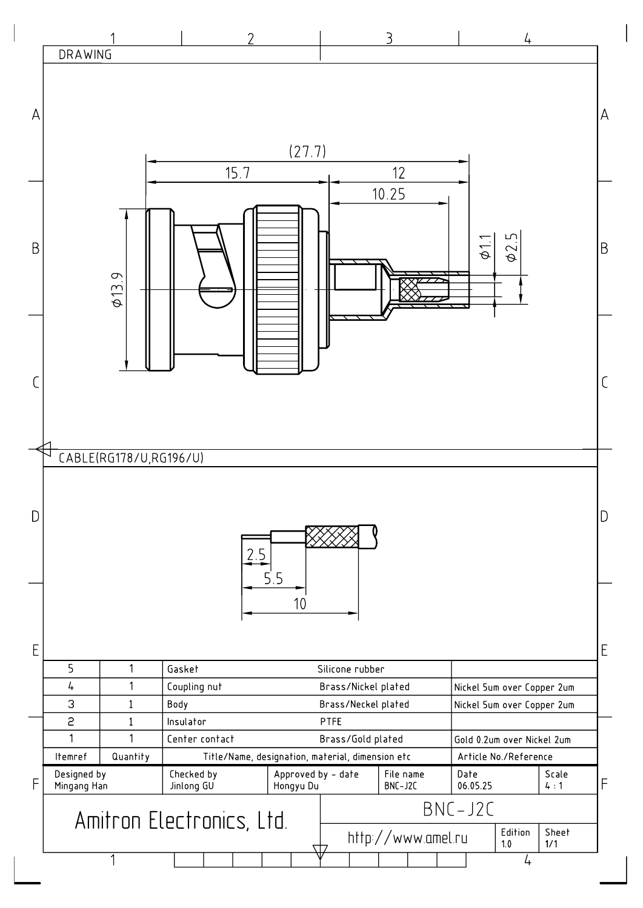